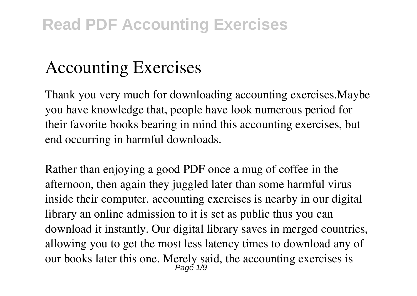## **Accounting Exercises**

Thank you very much for downloading **accounting exercises**.Maybe you have knowledge that, people have look numerous period for their favorite books bearing in mind this accounting exercises, but end occurring in harmful downloads.

Rather than enjoying a good PDF once a mug of coffee in the afternoon, then again they juggled later than some harmful virus inside their computer. **accounting exercises** is nearby in our digital library an online admission to it is set as public thus you can download it instantly. Our digital library saves in merged countries, allowing you to get the most less latency times to download any of our books later this one. Merely said, the accounting exercises is Page 1/9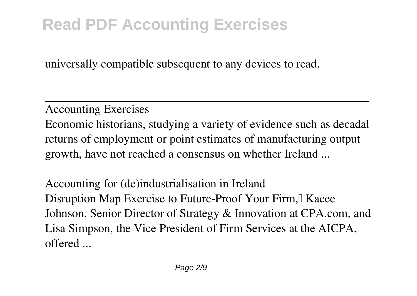universally compatible subsequent to any devices to read.

**Accounting Exercises** Economic historians, studying a variety of evidence such as decadal returns of employment or point estimates of manufacturing output growth, have not reached a consensus on whether Ireland ...

**Accounting for (de)industrialisation in Ireland** Disruption Map Exercise to Future-Proof Your Firm, Kacee Johnson, Senior Director of Strategy & Innovation at CPA.com, and Lisa Simpson, the Vice President of Firm Services at the AICPA, offered ...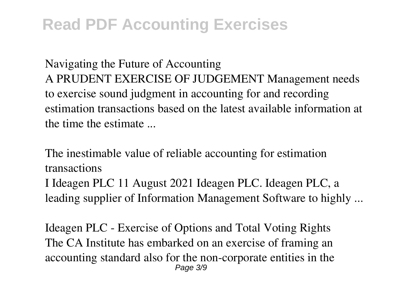**Navigating the Future of Accounting** A PRUDENT EXERCISE OF JUDGEMENT Management needs to exercise sound judgment in accounting for and recording estimation transactions based on the latest available information at the time the estimate ...

**The inestimable value of reliable accounting for estimation transactions** I Ideagen PLC 11 August 2021 Ideagen PLC. Ideagen PLC, a leading supplier of Information Management Software to highly ...

**Ideagen PLC - Exercise of Options and Total Voting Rights** The CA Institute has embarked on an exercise of framing an accounting standard also for the non-corporate entities in the Page 3/9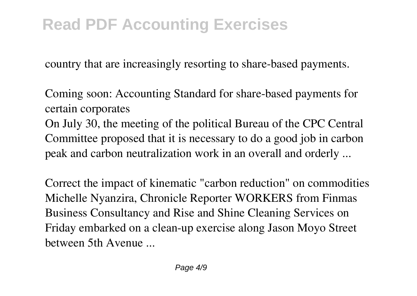country that are increasingly resorting to share-based payments.

**Coming soon: Accounting Standard for share-based payments for certain corporates**

On July 30, the meeting of the political Bureau of the CPC Central Committee proposed that it is necessary to do a good job in carbon peak and carbon neutralization work in an overall and orderly ...

**Correct the impact of kinematic "carbon reduction" on commodities** Michelle Nyanzira, Chronicle Reporter WORKERS from Finmas Business Consultancy and Rise and Shine Cleaning Services on Friday embarked on a clean-up exercise along Jason Moyo Street between 5th Avenue ...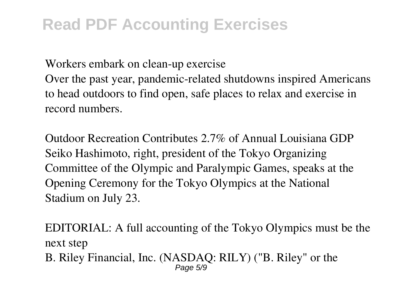**Workers embark on clean-up exercise**

Over the past year, pandemic-related shutdowns inspired Americans to head outdoors to find open, safe places to relax and exercise in record numbers.

**Outdoor Recreation Contributes 2.7% of Annual Louisiana GDP** Seiko Hashimoto, right, president of the Tokyo Organizing Committee of the Olympic and Paralympic Games, speaks at the Opening Ceremony for the Tokyo Olympics at the National Stadium on July 23.

**EDITORIAL: A full accounting of the Tokyo Olympics must be the next step** B. Riley Financial, Inc. (NASDAQ: RILY) ("B. Riley" or the Page 5/9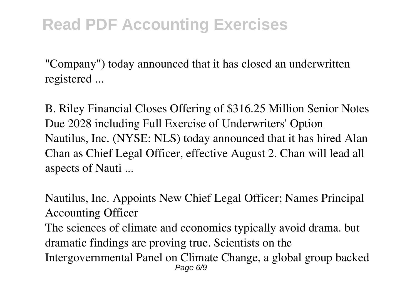"Company") today announced that it has closed an underwritten registered ...

**B. Riley Financial Closes Offering of \$316.25 Million Senior Notes Due 2028 including Full Exercise of Underwriters' Option** Nautilus, Inc. (NYSE: NLS) today announced that it has hired Alan Chan as Chief Legal Officer, effective August 2. Chan will lead all aspects of Nauti ...

**Nautilus, Inc. Appoints New Chief Legal Officer; Names Principal Accounting Officer** The sciences of climate and economics typically avoid drama. but dramatic findings are proving true. Scientists on the Intergovernmental Panel on Climate Change, a global group backed Page 6/9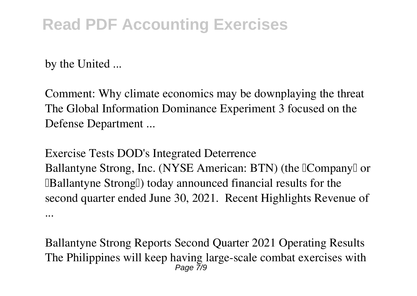by the United ...

**Comment: Why climate economics may be downplaying the threat** The Global Information Dominance Experiment 3 focused on the Defense Department ...

**Exercise Tests DOD's Integrated Deterrence** Ballantyne Strong, Inc. (NYSE American: BTN) (the [Company] or **IBallantyne StrongI) today announced financial results for the** second quarter ended June 30, 2021. Recent Highlights Revenue of ...

**Ballantyne Strong Reports Second Quarter 2021 Operating Results** The Philippines will keep having large-scale combat exercises with Page 7/9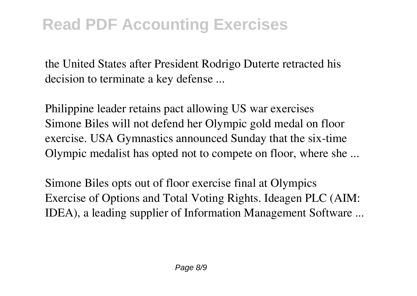the United States after President Rodrigo Duterte retracted his decision to terminate a key defense ...

**Philippine leader retains pact allowing US war exercises** Simone Biles will not defend her Olympic gold medal on floor exercise. USA Gymnastics announced Sunday that the six-time Olympic medalist has opted not to compete on floor, where she ...

**Simone Biles opts out of floor exercise final at Olympics** Exercise of Options and Total Voting Rights. Ideagen PLC (AIM: IDEA), a leading supplier of Information Management Software ...